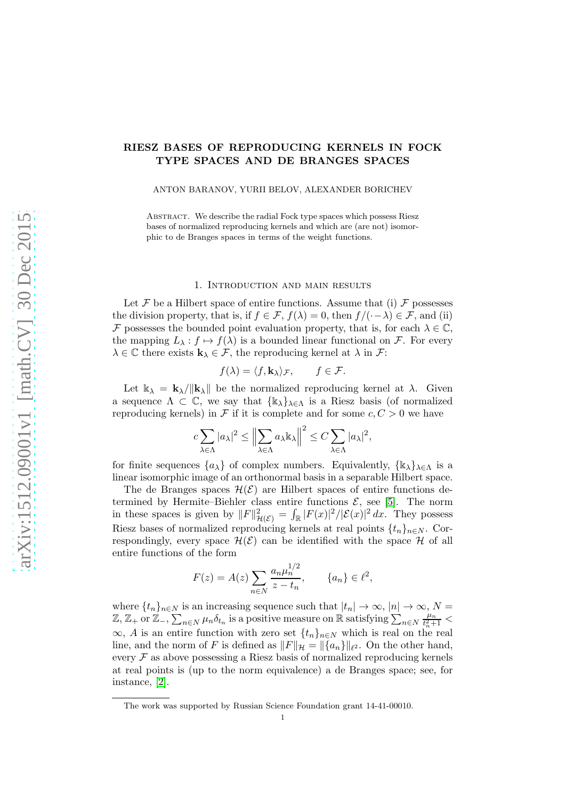# RIESZ BASES OF REPRODUCING KERNELS IN FOCK TYPE SPACES AND DE BRANGES SPACES

ANTON BARANOV, YURII BELOV, ALEXANDER BORICHEV

ABSTRACT. We describe the radial Fock type spaces which possess Riesz bases of normalized reproducing kernels and which are (are not) isomorphic to de Branges spaces in terms of the weight functions.

## 1. Introduction and main results

Let F be a Hilbert space of entire functions. Assume that (i) F possesses the division property, that is, if  $f \in \mathcal{F}$ ,  $f(\lambda) = 0$ , then  $f/(-\lambda) \in \mathcal{F}$ , and (ii) F possesses the bounded point evaluation property, that is, for each  $\lambda \in \mathbb{C}$ , the mapping  $L_{\lambda}: f \mapsto f(\lambda)$  is a bounded linear functional on F. For every  $\lambda \in \mathbb{C}$  there exists  $\mathbf{k}_{\lambda} \in \mathcal{F}$ , the reproducing kernel at  $\lambda$  in  $\mathcal{F}$ :

$$
f(\lambda) = \langle f, \mathbf{k}_{\lambda} \rangle_{\mathcal{F}}, \qquad f \in \mathcal{F}.
$$

Let  $k_{\lambda} = k_{\lambda}/\|k_{\lambda}\|$  be the normalized reproducing kernel at  $\lambda$ . Given a sequence  $\Lambda \subset \mathbb{C}$ , we say that  $\{ \mathbb{k}_{\lambda} \}_{\lambda \in \Lambda}$  is a Riesz basis (of normalized reproducing kernels) in F if it is complete and for some  $c, C > 0$  we have

$$
c\sum_{\lambda\in\Lambda}|a_{\lambda}|^{2}\leq\left\|\sum_{\lambda\in\Lambda}a_{\lambda}\mathbb{k}_{\lambda}\right\|^{2}\leq C\sum_{\lambda\in\Lambda}|a_{\lambda}|^{2},
$$

for finite sequences  $\{a_{\lambda}\}\$  of complex numbers. Equivalently,  $\{\mathbb{k}_{\lambda}\}_{\lambda\in\Lambda}$  is a linear isomorphic image of an orthonormal basis in a separable Hilbert space.

The de Branges spaces  $\mathcal{H}(\mathcal{E})$  are Hilbert spaces of entire functions determined by Hermite–Biehler class entire functions  $\mathcal{E}$ , see [\[5\]](#page-13-0). The norm in these spaces is given by  $||F||^2_{\mathcal{H}(\mathcal{E})} = \int_{\mathbb{R}} |F(x)|^2 / |\mathcal{E}(x)|^2 dx$ . They possess Riesz bases of normalized reproducing kernels at real points  $\{t_n\}_{n\in\mathbb{N}}$ . Correspondingly, every space  $\mathcal{H}(\mathcal{E})$  can be identified with the space  $\mathcal{H}$  of all entire functions of the form

$$
F(z) = A(z) \sum_{n \in N} \frac{a_n \mu_n^{1/2}}{z - t_n}, \qquad \{a_n\} \in \ell^2,
$$

where  $\{t_n\}_{n\in\mathbb{N}}$  is an increasing sequence such that  $|t_n|\to\infty$ ,  $|n|\to\infty$ ,  $N=$  $\mathbb{Z}, \mathbb{Z}_+$  or  $\mathbb{Z}_-, \sum_{n \in \mathbb{N}} \mu_n \delta_{t_n}$  is a positive measure on R satisfying  $\sum_{n \in \mathbb{N}}$  $\mu_n$  $\frac{\mu_n}{t_n^2+1}$  < ∞, A is an entire function with zero set  $\{t_n\}_{n\in\mathbb{N}}$  which is real on the real line, and the norm of F is defined as  $||F||_{\mathcal{H}} = ||\{a_n\}||_{\ell^2}$ . On the other hand, every  $\mathcal F$  as above possessing a Riesz basis of normalized reproducing kernels at real points is (up to the norm equivalence) a de Branges space; see, for instance, [\[2\]](#page-13-1).

The work was supported by Russian Science Foundation grant 14-41-00010.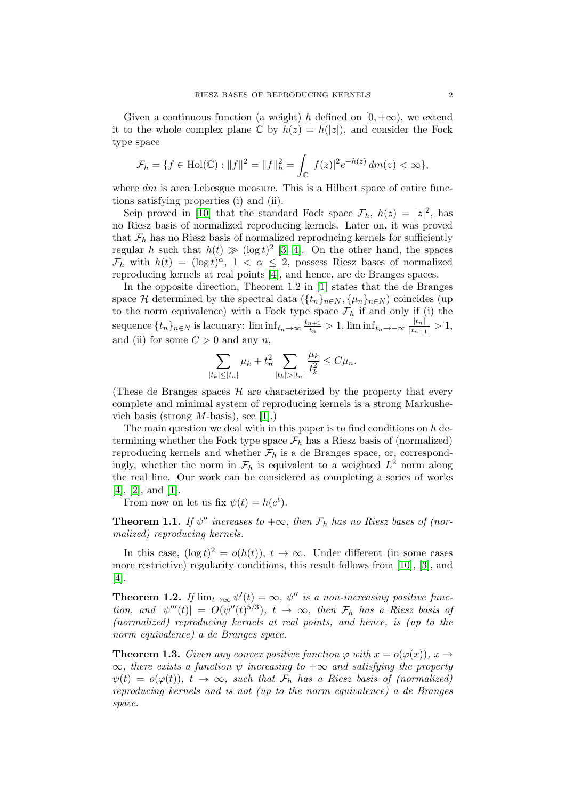Given a continuous function (a weight) h defined on  $[0, +\infty)$ , we extend it to the whole complex plane  $\mathbb C$  by  $h(z) = h(|z|)$ , and consider the Fock type space

$$
\mathcal{F}_h = \{ f \in Hol(\mathbb{C}) : ||f||^2 = ||f||_h^2 = \int_{\mathbb{C}} |f(z)|^2 e^{-h(z)} dm(z) < \infty \},\
$$

where  $dm$  is area Lebesgue measure. This is a Hilbert space of entire functions satisfying properties (i) and (ii).

Seip proved in [\[10\]](#page-13-2) that the standard Fock space  $\mathcal{F}_h$ ,  $h(z) = |z|^2$ , has no Riesz basis of normalized reproducing kernels. Later on, it was proved that  $\mathcal{F}_h$  has no Riesz basis of normalized reproducing kernels for sufficiently regular h such that  $h(t) \gg (\log t)^2$  [\[3,](#page-13-3) [4\]](#page-13-4). On the other hand, the spaces  $\mathcal{F}_h$  with  $h(t) = (\log t)^\alpha$ ,  $1 < \alpha \leq 2$ , possess Riesz bases of normalized reproducing kernels at real points [\[4\]](#page-13-4), and hence, are de Branges spaces.

In the opposite direction, Theorem 1.2 in [\[1\]](#page-13-5) states that the de Branges space H determined by the spectral data  $({t_n}_{n\in N}, {\mu_n}_{n\in N})$  coincides (up to the norm equivalence) with a Fock type space  $\mathcal{F}_h$  if and only if (i) the sequence  $\{t_n\}_{n\in\mathbb{N}}$  is lacunary:  $\liminf_{t_n\to\infty}\frac{t_{n+1}}{t_n}$  $t_{tn}^{n+1} > 1$ , lim inf $t_{n} \rightarrow -\infty$   $\frac{|t_{n}|}{|t_{n+1}|} > 1$ , and (ii) for some  $C > 0$  and any n,

$$
\sum_{|t_k| \leq |t_n|} \mu_k + t_n^2 \sum_{|t_k| > |t_n|} \frac{\mu_k}{t_k^2} \leq C \mu_n.
$$

(These de Branges spaces  $\mathcal{H}$  are characterized by the property that every complete and minimal system of reproducing kernels is a strong Markushevich basis (strong  $M$ -basis), see [\[1\]](#page-13-5).)

The main question we deal with in this paper is to find conditions on  $h$  determining whether the Fock type space  $\mathcal{F}_h$  has a Riesz basis of (normalized) reproducing kernels and whether  $F_h$  is a de Branges space, or, correspondingly, whether the norm in  $\mathcal{F}_h$  is equivalent to a weighted  $L^2$  norm along the real line. Our work can be considered as completing a series of works [\[4\]](#page-13-4), [\[2\]](#page-13-1), and [\[1\]](#page-13-5).

From now on let us fix  $\psi(t) = h(e^t)$ .

<span id="page-1-0"></span>**Theorem 1.1.** If  $\psi''$  increases to  $+\infty$ , then  $\mathcal{F}_h$  has no Riesz bases of (normalized) reproducing kernels.

In this case,  $(\log t)^2 = o(h(t)), t \to \infty$ . Under different (in some cases more restrictive) regularity conditions, this result follows from [\[10\]](#page-13-2), [\[3\]](#page-13-3), and [\[4\]](#page-13-4).

<span id="page-1-2"></span>**Theorem 1.2.** If  $\lim_{t\to\infty} \psi'(t) = \infty$ ,  $\psi''$  is a non-increasing positive function, and  $|\psi'''(t)| = O(\psi''(t)^{5/3})$ ,  $t \to \infty$ , then  $\mathcal{F}_h$  has a Riesz basis of (normalized) reproducing kernels at real points, and hence, is (up to the norm equivalence) a de Branges space.

<span id="page-1-1"></span>**Theorem 1.3.** Given any convex positive function  $\varphi$  with  $x = o(\varphi(x))$ ,  $x \to \varphi(x)$  $\infty$ , there exists a function  $\psi$  increasing to  $+\infty$  and satisfying the property  $\psi(t) = o(\varphi(t)), t \to \infty$ , such that  $\mathcal{F}_h$  has a Riesz basis of (normalized) reproducing kernels and is not (up to the norm equivalence) a de Branges space.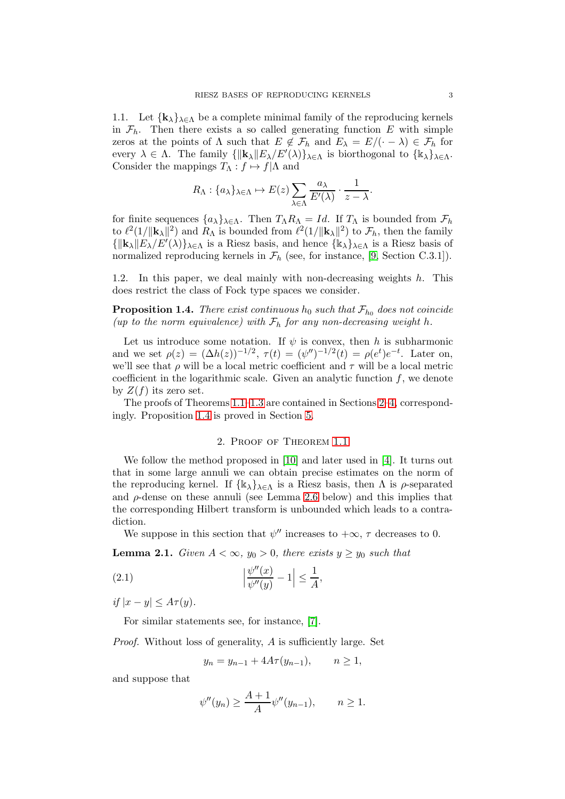<span id="page-2-4"></span>1.1. Let  $\{k_{\lambda}\}_{\lambda \in \Lambda}$  be a complete minimal family of the reproducing kernels in  $\mathcal{F}_h$ . Then there exists a so called generating function E with simple zeros at the points of  $\Lambda$  such that  $E \notin \mathcal{F}_h$  and  $E_\lambda = E/(\cdot - \lambda) \in \mathcal{F}_h$  for every  $\lambda \in \Lambda$ . The family  ${\{\Vert {\bf k}_{\lambda} \Vert E_{\lambda}/E'(\lambda)\}}_{\lambda \in \Lambda}$  is biorthogonal to  ${\{\Vert {\bf k}_{\lambda} \Vert_{\lambda \in \Lambda}\}}$ . Consider the mappings  $T_{\Lambda}: f \mapsto f|\Lambda$  and

$$
R_{\Lambda}: \{a_{\lambda}\}_{\lambda \in \Lambda} \mapsto E(z) \sum_{\lambda \in \Lambda} \frac{a_{\lambda}}{E'(\lambda)} \cdot \frac{1}{z - \lambda}.
$$

for finite sequences  $\{a_{\lambda}\}_{\lambda \in \Lambda}$ . Then  $T_{\Lambda}R_{\Lambda} = Id$ . If  $T_{\Lambda}$  is bounded from  $\mathcal{F}_h$ to  $\ell^2(1/\|\mathbf{k}_\lambda\|^2)$  and  $R_\Lambda$  is bounded from  $\ell^2(1/\|\mathbf{k}_\lambda\|^2)$  to  $\mathcal{F}_h$ , then the family  ${\{\Vert{\mathbf{k}}_{\lambda}\Vert E_{\lambda}/E'(\lambda)\}}_{\lambda\in\Lambda}$  is a Riesz basis, and hence  ${\{\Vert{\mathbf{k}}_{\lambda}\}}_{\lambda\in\Lambda}$  is a Riesz basis of normalized reproducing kernels in  $\mathcal{F}_h$  (see, for instance, [\[9,](#page-13-6) Section C.3.1]).

1.2. In this paper, we deal mainly with non-decreasing weights  $h$ . This does restrict the class of Fock type spaces we consider.

<span id="page-2-1"></span>**Proposition 1.4.** There exist continuous  $h_0$  such that  $\mathcal{F}_{h_0}$  does not coincide (up to the norm equivalence) with  $\mathcal{F}_h$  for any non-decreasing weight h.

Let us introduce some notation. If  $\psi$  is convex, then h is subharmonic and we set  $\rho(z) = (\Delta h(z))^{-1/2}$ ,  $\tau(t) = (\psi'')^{-1/2}(t) = \rho(e^t)e^{-t}$ . Later on, we'll see that  $\rho$  will be a local metric coefficient and  $\tau$  will be a local metric coefficient in the logarithmic scale. Given an analytic function  $f$ , we denote by  $Z(f)$  its zero set.

<span id="page-2-0"></span>The proofs of Theorems [1.1–](#page-1-0)[1.3](#page-1-1) are contained in Sections [2–](#page-2-0)[4,](#page-9-0) correspondingly. Proposition [1.4](#page-2-1) is proved in Section [5.](#page-12-0)

## 2. Proof of Theorem [1.1](#page-1-0)

We follow the method proposed in [\[10\]](#page-13-2) and later used in [\[4\]](#page-13-4). It turns out that in some large annuli we can obtain precise estimates on the norm of the reproducing kernel. If  $\{\mathbbk}_{\lambda}\}_{\lambda \in \Lambda}$  is a Riesz basis, then  $\Lambda$  is  $\rho$ -separated and  $\rho$ -dense on these annuli (see Lemma [2.6](#page-4-0) below) and this implies that the corresponding Hilbert transform is unbounded which leads to a contradiction.

We suppose in this section that  $\psi''$  increases to  $+\infty$ ,  $\tau$  decreases to 0.

<span id="page-2-2"></span>,

<span id="page-2-3"></span>**Lemma 2.1.** Given  $A < \infty$ ,  $y_0 > 0$ , there exists  $y \ge y_0$  such that

$$
(2.1) \qquad \qquad \left|\frac{\psi''(x)}{\psi''(y)} - 1\right| \le \frac{1}{A}
$$

if  $|x - y| \leq A\tau(y)$ .

For similar statements see, for instance, [\[7\]](#page-13-7).

Proof. Without loss of generality, A is sufficiently large. Set

$$
y_n = y_{n-1} + 4A\tau(y_{n-1}), \quad n \ge 1,
$$

and suppose that

$$
\psi''(y_n) \ge \frac{A+1}{A} \psi''(y_{n-1}), \qquad n \ge 1.
$$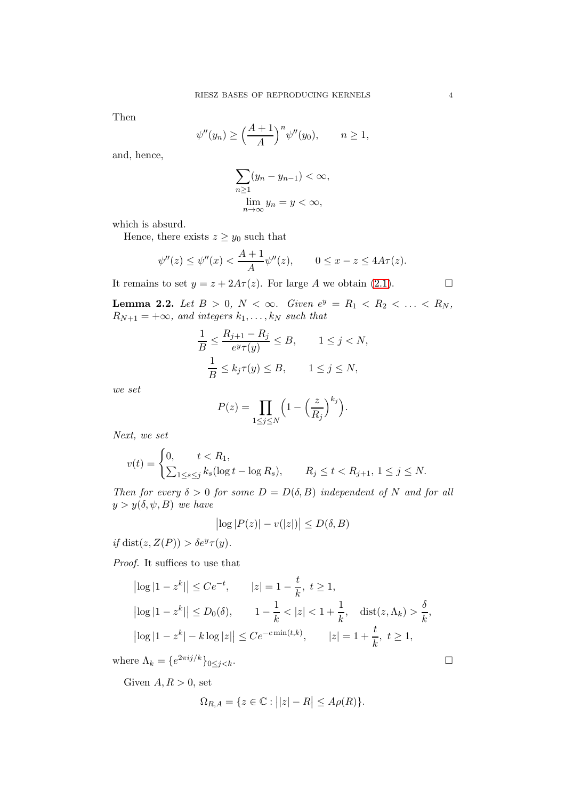Then

$$
\psi''(y_n) \ge \left(\frac{A+1}{A}\right)^n \psi''(y_0), \qquad n \ge 1,
$$

and, hence,

$$
\sum_{n\geq 1} (y_n - y_{n-1}) < \infty,
$$
\n
$$
\lim_{n \to \infty} y_n = y < \infty,
$$

which is absurd.

Hence, there exists  $z \ge y_0$  such that

$$
\psi''(z) \le \psi''(x) < \frac{A+1}{A} \psi''(z), \qquad 0 \le x - z \le 4A\tau(z).
$$

It remains to set  $y = z + 2A\tau(z)$ . For large A we obtain [\(2.1\)](#page-2-2).

<span id="page-3-0"></span>**Lemma 2.2.** Let  $B > 0$ ,  $N < \infty$ . Given  $e^y = R_1 < R_2 < \ldots < R_N$ ,  $R_{N+1} = +\infty$ , and integers  $k_1, \ldots, k_N$  such that

$$
\frac{1}{B} \le \frac{R_{j+1} - R_j}{e^y \tau(y)} \le B, \qquad 1 \le j < N,
$$
\n
$$
\frac{1}{B} \le k_j \tau(y) \le B, \qquad 1 \le j \le N,
$$

we set

$$
P(z) = \prod_{1 \le j \le N} \left(1 - \left(\frac{z}{R_j}\right)^{k_j}\right).
$$

Next, we set

$$
v(t) = \begin{cases} 0, & t < R_1, \\ \sum_{1 \le s \le j} k_s (\log t - \log R_s), & R_j \le t < R_{j+1}, \ 1 \le j \le N. \end{cases}
$$

Then for every  $\delta > 0$  for some  $D = D(\delta, B)$  independent of N and for all  $y > y(\delta, \psi, B)$  we have

$$
\left| \log |P(z)| - v(|z|) \right| \le D(\delta, B)
$$

if dist( $z, Z(P)$ ) >  $\delta e^y \tau(y)$ .

Proof. It suffices to use that

$$
|\log|1 - z^k|| \le Ce^{-t}, \qquad |z| = 1 - \frac{t}{k}, \ t \ge 1,
$$
  
\n
$$
|\log|1 - z^k|| \le D_0(\delta), \qquad 1 - \frac{1}{k} < |z| < 1 + \frac{1}{k}, \quad \text{dist}(z, \Lambda_k) > \frac{\delta}{k},
$$
  
\n
$$
|\log|1 - z^k| - k \log|z|| \le Ce^{-c \min(t, k)}, \qquad |z| = 1 + \frac{t}{k}, \ t \ge 1,
$$

where  $\Lambda_k = \{e^{2\pi i j/k}\}_{0 \le j \le k}$ .

Given  $A, R > 0$ , set

$$
\Omega_{R,A} = \{ z \in \mathbb{C} : ||z| - R| \le A\rho(R) \}.
$$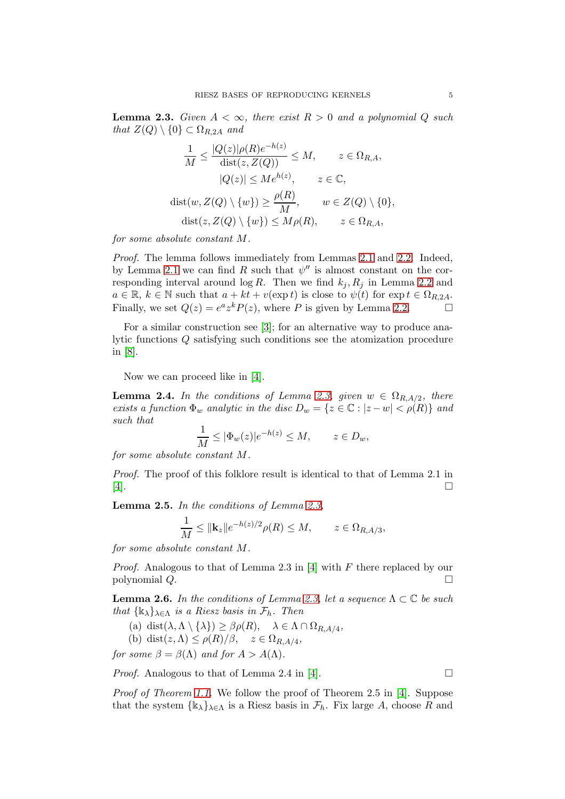<span id="page-4-1"></span>**Lemma 2.3.** Given  $A < \infty$ , there exist  $R > 0$  and a polynomial Q such that  $Z(Q) \setminus \{0\} \subset \Omega_{R,2A}$  and

$$
\frac{1}{M} \le \frac{|Q(z)|\rho(R)e^{-h(z)}}{\text{dist}(z, Z(Q))} \le M, \qquad z \in \Omega_{R,A},
$$

$$
|Q(z)| \le Me^{h(z)}, \qquad z \in \mathbb{C},
$$

$$
\text{dist}(w, Z(Q) \setminus \{w\}) \ge \frac{\rho(R)}{M}, \qquad w \in Z(Q) \setminus \{0\},
$$

$$
\text{dist}(z, Z(Q) \setminus \{w\}) \le M\rho(R), \qquad z \in \Omega_{R,A},
$$

for some absolute constant M.

Proof. The lemma follows immediately from Lemmas [2.1](#page-2-3) and [2.2.](#page-3-0) Indeed, by Lemma [2.1](#page-2-3) we can find R such that  $\psi''$  is almost constant on the corresponding interval around  $\log R$ . Then we find  $k_j, R_j$  in Lemma [2.2](#page-3-0) and  $a \in \mathbb{R}$ ,  $k \in \mathbb{N}$  such that  $a + kt + v(\exp t)$  is close to  $\psi(t)$  for  $\exp t \in \Omega_{R,2A}$ .<br>Finally, we set  $Q(z) = e^a z^k P(z)$ , where P is given by Lemma 2.2. Finally, we set  $Q(z) = e^a z^k P(z)$ , where P is given by Lemma [2.2.](#page-3-0)

For a similar construction see [\[3\]](#page-13-3); for an alternative way to produce analytic functions Q satisfying such conditions see the atomization procedure in [\[8\]](#page-13-8).

Now we can proceed like in [\[4\]](#page-13-4).

**Lemma 2.4.** In the conditions of Lemma [2.3,](#page-4-1) given  $w \in \Omega_{R,A/2}$ , there exists a function  $\Phi_w$  analytic in the disc  $D_w = \{z \in \mathbb{C} : |z - w| < \rho(R)\}\$ and such that

$$
\frac{1}{M} \le |\Phi_w(z)|e^{-h(z)} \le M, \qquad z \in D_w,
$$

for some absolute constant M.

Proof. The proof of this folklore result is identical to that of Lemma 2.1 in [\[4\]](#page-13-4).

<span id="page-4-2"></span>Lemma 2.5. In the conditions of Lemma [2.3,](#page-4-1)

$$
\frac{1}{M} \le ||\mathbf{k}_z||e^{-h(z)/2} \rho(R) \le M, \qquad z \in \Omega_{R,A/3},
$$

for some absolute constant M.

*Proof.* Analogous to that of Lemma 2.3 in [\[4\]](#page-13-4) with  $F$  there replaced by our polynomial  $Q$ .

<span id="page-4-0"></span>**Lemma 2.6.** In the conditions of Lemma [2.3,](#page-4-1) let a sequence  $\Lambda \subset \mathbb{C}$  be such that  $\{k_{\lambda}\}_{\lambda \in \Lambda}$  is a Riesz basis in  $\mathcal{F}_h$ . Then

- (a) dist $(\lambda, \Lambda \setminus {\lambda}) \geq \beta \rho(R)$ ,  $\lambda \in \Lambda \cap \Omega_{R,A/4}$ ,
- (b) dist $(z, \Lambda) \le \rho(R)/\beta$ ,  $z \in \Omega_{R,A/4}$ ,

for some  $\beta = \beta(\Lambda)$  and for  $A > A(\Lambda)$ .

*Proof.* Analogous to that of Lemma 2.4 in [\[4\]](#page-13-4).

Proof of Theorem [1.1.](#page-1-0) We follow the proof of Theorem 2.5 in [\[4\]](#page-13-4). Suppose that the system  $\{\mathbbk}_{\lambda}\}_{{\lambda \in {\Lambda}}}$  is a Riesz basis in  $\mathcal{F}_h$ . Fix large A, choose R and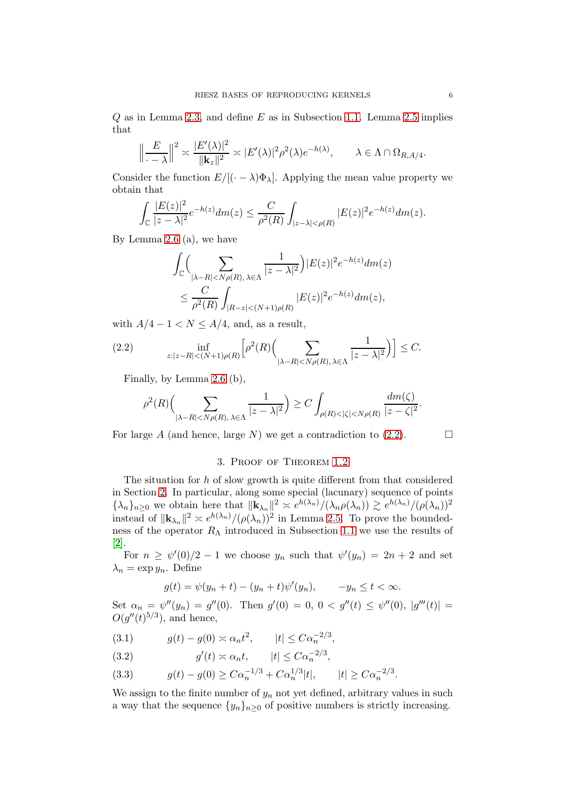$Q$  as in Lemma [2.3,](#page-4-1) and define  $E$  as in Subsection [1.1.](#page-2-4) Lemma [2.5](#page-4-2) implies that

$$
\left\|\frac{E}{\cdot - \lambda}\right\|^2 \asymp \frac{|E'(\lambda)|^2}{\|\mathbf{k}_z\|^2} \asymp |E'(\lambda)|^2 \rho^2(\lambda) e^{-h(\lambda)}, \qquad \lambda \in \Lambda \cap \Omega_{R,A/4}.
$$

Consider the function  $E/[(\cdot - \lambda)\Phi_{\lambda}]$ . Applying the mean value property we obtain that

$$
\int_{\mathbb{C}} \frac{|E(z)|^2}{|z - \lambda|^2} e^{-h(z)} dm(z) \leq \frac{C}{\rho^2(R)} \int_{|z - \lambda| < \rho(R)} |E(z)|^2 e^{-h(z)} dm(z).
$$

By Lemma [2.6](#page-4-0) (a), we have

$$
\int_{\mathbb{C}} \Biggl(\sum_{|\lambda - R| < N\rho(R), \lambda \in \Lambda} \frac{1}{|z - \lambda|^2}\Bigl) |E(z)|^2 e^{-h(z)} dm(z) \n\leq \frac{C}{\rho^2(R)} \int_{|R - z| < (N+1)\rho(R)} |E(z)|^2 e^{-h(z)} dm(z),
$$

with  $A/4 - 1 < N \leq A/4$ , and, as a result,

<span id="page-5-0"></span>(2.2) 
$$
\inf_{z:|z-R|< (N+1)\rho(R)} \left[ \rho^2(R) \left( \sum_{|\lambda-R|< N\rho(R), \lambda \in \Lambda} \frac{1}{|z-\lambda|^2} \right) \right] \leq C.
$$

Finally, by Lemma [2.6](#page-4-0) (b),

$$
\rho^2(R)\Big(\sum_{|\lambda-R|
$$

For large A (and hence, large N) we get a contradiction to  $(2.2)$ .

# 3. Proof of Theorem [1.2](#page-1-2)

The situation for h of slow growth is quite different from that considered in Section [2.](#page-2-0) In particular, along some special (lacunary) sequence of points  ${\lambda_n}_{n\geq 0}$  we obtain here that  $\|\mathbf{k}_{\lambda_n}\|^2 \asymp e^{h(\lambda_n)}/(\lambda_n \rho(\lambda_n)) \gtrsim e^{h(\lambda_n)}/(\rho(\lambda_n))^2$ instead of  $\|\mathbf{k}_{\lambda_n}\|^2 \approx e^{h(\lambda_n)}/(\rho(\lambda_n))^2$  in Lemma [2.5.](#page-4-2) To prove the boundedness of the operator  $R_{\Lambda}$  introduced in Subsection [1.1](#page-2-4) we use the results of [\[2\]](#page-13-1).

For  $n \geq \psi'(0)/2 - 1$  we choose  $y_n$  such that  $\psi'(y_n) = 2n + 2$  and set  $\lambda_n = \exp y_n$ . Define

$$
g(t) = \psi(y_n + t) - (y_n + t)\psi'(y_n), \qquad -y_n \le t < \infty.
$$

Set  $\alpha_n = \psi''(y_n) = g''(0)$ . Then  $g'(0) = 0, 0 < g''(t) \leq \psi''(0), |g'''(t)| =$  $O(g''(t)^{5/3})$ , and hence,

<span id="page-5-1"></span>(3.1) 
$$
g(t) - g(0) \approx \alpha_n t^2
$$
,  $|t| \leq C \alpha_n^{-2/3}$ ,

<span id="page-5-3"></span>(3.2)  $g'(t) \approx \alpha_n t, \qquad |t| \leq C \alpha_n^{-2/3},$ 

<span id="page-5-2"></span>(3.3) 
$$
g(t) - g(0) \geq C\alpha_n^{-1/3} + C\alpha_n^{1/3}|t|, \qquad |t| \geq C\alpha_n^{-2/3}.
$$

We assign to the finite number of  $y_n$  not yet defined, arbitrary values in such a way that the sequence  $\{y_n\}_{n>0}$  of positive numbers is strictly increasing.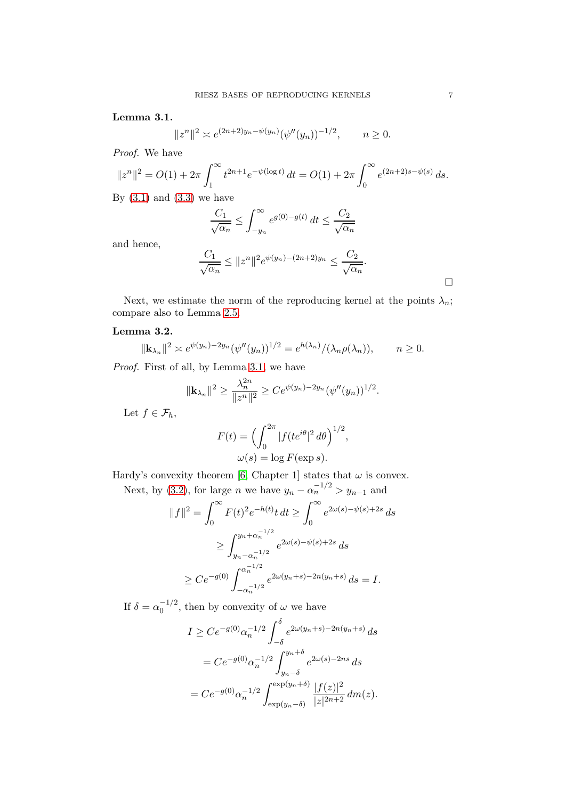## <span id="page-6-0"></span>Lemma 3.1.

$$
||z^n||^2 \asymp e^{(2n+2)y_n - \psi(y_n)}(\psi''(y_n))^{-1/2}, \qquad n \ge 0.
$$

Proof. We have

$$
||z^n||^2 = O(1) + 2\pi \int_1^\infty t^{2n+1} e^{-\psi(\log t)} dt = O(1) + 2\pi \int_0^\infty e^{(2n+2)s - \psi(s)} ds.
$$

By  $(3.1)$  and  $(3.3)$  we have

$$
\frac{C_1}{\sqrt{\alpha_n}} \le \int_{-y_n}^{\infty} e^{g(0) - g(t)} dt \le \frac{C_2}{\sqrt{\alpha_n}}
$$

and hence,

$$
\frac{C_1}{\sqrt{\alpha_n}} \le ||z^n||^2 e^{\psi(y_n) - (2n+2)y_n} \le \frac{C_2}{\sqrt{\alpha_n}}.
$$

Next, we estimate the norm of the reproducing kernel at the points  $\lambda_n$ ; compare also to Lemma [2.5.](#page-4-2)

## <span id="page-6-1"></span>Lemma 3.2.

$$
\|\mathbf{k}_{\lambda_n}\|^2 \asymp e^{\psi(y_n)-2y_n}(\psi''(y_n))^{1/2} = e^{h(\lambda_n)}/(\lambda_n \rho(\lambda_n)), \qquad n \ge 0.
$$

Proof. First of all, by Lemma [3.1,](#page-6-0) we have

$$
\|\mathbf{k}_{\lambda_n}\|^2 \ge \frac{\lambda_n^{2n}}{\|z^n\|^2} \ge Ce^{\psi(y_n)-2y_n}(\psi''(y_n))^{1/2}.
$$

Let  $f \in \mathcal{F}_h$ 

$$
F(t) = \left(\int_0^{2\pi} |f(te^{i\theta}|^2 d\theta\right)^{1/2},
$$
  

$$
\omega(s) = \log F(\exp s).
$$

Hardy's convexity theorem [\[6,](#page-13-9) Chapter 1] states that  $\omega$  is convex.

Next, by [\(3.2\)](#page-5-3), for large *n* we have  $y_n - \alpha_n^{-1/2} > y_{n-1}$  and

$$
||f||^2 = \int_0^\infty F(t)^2 e^{-h(t)} t dt \ge \int_0^\infty e^{2\omega(s) - \psi(s) + 2s} ds
$$
  
\n
$$
\ge \int_{y_n - \alpha_n^{-1/2}}^{y_n + \alpha_n^{-1/2}} e^{2\omega(s) - \psi(s) + 2s} ds
$$
  
\n
$$
\ge C e^{-g(0)} \int_{-\alpha_n^{-1/2}}^{\alpha_n^{-1/2}} e^{2\omega(y_n + s) - 2n(y_n + s)} ds = I.
$$

If  $\delta = \alpha_0^{-1/2}$ , then by convexity of  $\omega$  we have

$$
I \ge Ce^{-g(0)}\alpha_n^{-1/2} \int_{-\delta}^{\delta} e^{2\omega(y_n+s)-2n(y_n+s)} ds
$$
  
=  $C e^{-g(0)}\alpha_n^{-1/2} \int_{y_n-\delta}^{y_n+\delta} e^{2\omega(s)-2ns} ds$   
=  $C e^{-g(0)}\alpha_n^{-1/2} \int_{\exp(y_n-\delta)}^{\exp(y_n+\delta)} \frac{|f(z)|^2}{|z|^{2n+2}} dm(z).$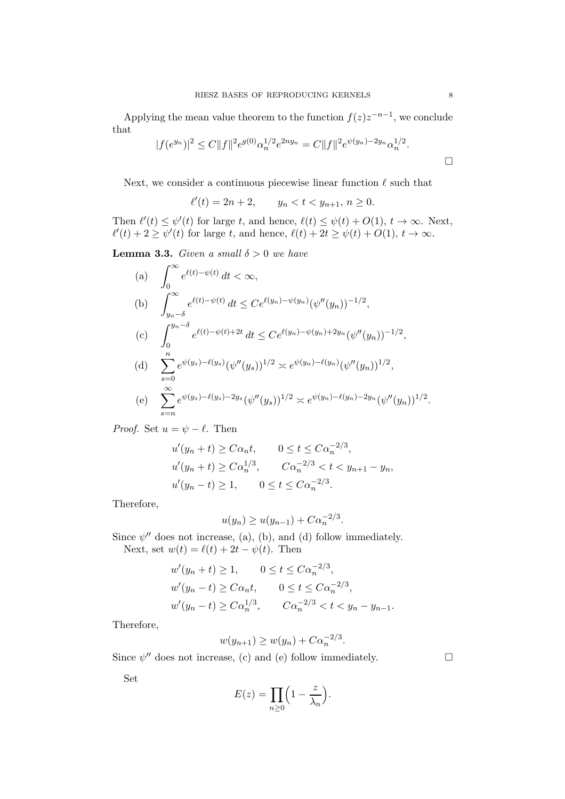Applying the mean value theorem to the function  $f(z)z^{-n-1}$ , we conclude that

$$
|f(e^{y_n})|^2 \le C \|f\|^2 e^{g(0)} \alpha_n^{1/2} e^{2ny_n} = C \|f\|^2 e^{\psi(y_n) - 2y_n} \alpha_n^{1/2}.
$$

Next, we consider a continuous piecewise linear function  $\ell$  such that

 $\ell'(t) = 2n + 2,$   $y_n < t < y_{n+1}, n \ge 0.$ 

Then  $\ell'(t) \leq \psi'(t)$  for large t, and hence,  $\ell(t) \leq \psi(t) + O(1)$ ,  $t \to \infty$ . Next,  $\ell'(t) + 2 \ge \psi'(t)$  for large t, and hence,  $\ell(t) + 2t \ge \psi(t) + O(1), t \to \infty$ .

<span id="page-7-0"></span>**Lemma 3.3.** Given a small  $\delta > 0$  we have

(a) 
$$
\int_{0}^{\infty} e^{\ell(t) - \psi(t)} dt < \infty,
$$
  
\n(b) 
$$
\int_{y_n - \delta}^{\infty} e^{\ell(t) - \psi(t)} dt \leq C e^{\ell(y_n) - \psi(y_n)} (\psi''(y_n))^{-1/2},
$$
  
\n(c) 
$$
\int_{0}^{y_n - \delta} e^{\ell(t) - \psi(t) + 2t} dt \leq C e^{\ell(y_n) - \psi(y_n) + 2y_n} (\psi''(y_n))^{-1/2},
$$
  
\n(d) 
$$
\sum_{s=0}^{n} e^{\psi(y_s) - \ell(y_s)} (\psi''(y_s))^{1/2} \approx e^{\psi(y_n) - \ell(y_n)} (\psi''(y_n))^{1/2},
$$
  
\n(e) 
$$
\sum_{s=n}^{\infty} e^{\psi(y_s) - \ell(y_s) - 2y_s} (\psi''(y_s))^{1/2} \approx e^{\psi(y_n) - \ell(y_n) - 2y_n} (\psi''(y_n))^{1/2}.
$$

*Proof.* Set  $u = \psi - \ell$ . Then

$$
u'(y_n + t) \ge C\alpha_n t, \qquad 0 \le t \le C\alpha_n^{-2/3},
$$
  

$$
u'(y_n + t) \ge C\alpha_n^{1/3}, \qquad C\alpha_n^{-2/3} < t < y_{n+1} - y_n,
$$
  

$$
u'(y_n - t) \ge 1, \qquad 0 \le t \le C\alpha_n^{-2/3}.
$$

Therefore,

$$
u(y_n) \ge u(y_{n-1}) + C\alpha_n^{-2/3}.
$$

Since  $\psi''$  does not increase, (a), (b), and (d) follow immediately. Next, set  $w(t) = \ell(t) + 2t - \psi(t)$ . Then

$$
w'(y_n + t) \ge 1, \qquad 0 \le t \le C\alpha_n^{-2/3},
$$
  
\n
$$
w'(y_n - t) \ge C\alpha_n t, \qquad 0 \le t \le C\alpha_n^{-2/3},
$$
  
\n
$$
w'(y_n - t) \ge C\alpha_n^{1/3}, \qquad C\alpha_n^{-2/3} < t < y_n - y_{n-1}.
$$

Therefore,

$$
w(y_{n+1}) \ge w(y_n) + C\alpha_n^{-2/3}.
$$

Since  $\psi''$  does not increase, (c) and (e) follow immediately.

Set

$$
E(z) = \prod_{n \ge 0} \left( 1 - \frac{z}{\lambda_n} \right).
$$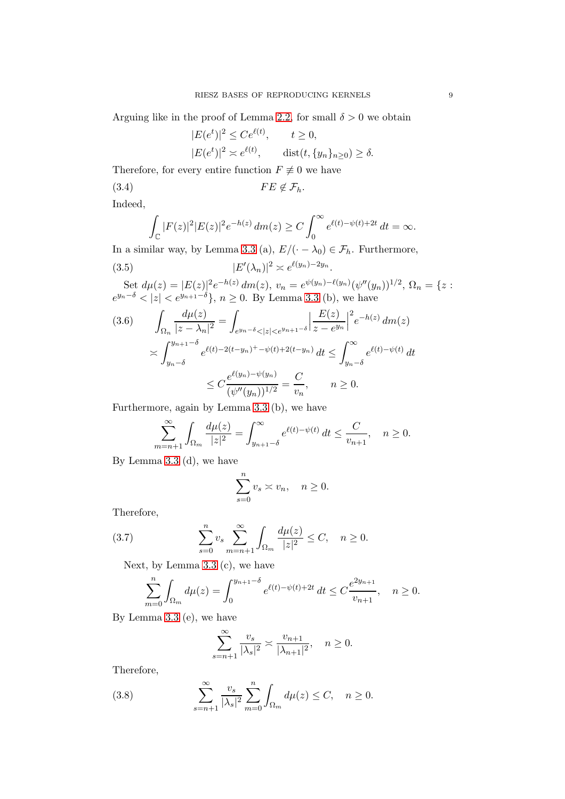Arguing like in the proof of Lemma [2.2,](#page-3-0) for small  $\delta > 0$  we obtain

<span id="page-8-0"></span>
$$
|E(e^t)|^2 \le Ce^{\ell(t)}, \qquad t \ge 0,
$$
  

$$
|E(e^t)|^2 \approx e^{\ell(t)}, \qquad \text{dist}(t, \{y_n\}_{n\ge 0}) \ge \delta.
$$

Therefore, for every entire function  $F \not\equiv 0$  we have

$$
(3.4) \t\t\t\t FE \notin \mathcal{F}_h.
$$

Indeed,

<span id="page-8-1"></span>
$$
\int_{\mathbb{C}} |F(z)|^2 |E(z)|^2 e^{-h(z)} dm(z) \ge C \int_0^{\infty} e^{\ell(t) - \psi(t) + 2t} dt = \infty.
$$

In a similar way, by Lemma [3.3](#page-7-0) (a),  $E/(-\lambda_0) \in \mathcal{F}_h$ . Furthermore,

(3.5) 
$$
|E'(\lambda_n)|^2 \asymp e^{\ell(y_n)-2y_n}
$$

Set  $d\mu(z) = |E(z)|^2 e^{-h(z)} dm(z), v_n = e^{\psi(y_n)-\ell(y_n)} (\psi''(y_n))^{1/2}, \Omega_n = \{z :$  $e^{y_n-\delta} < |z| < e^{y_{n+1}-\delta}$ ,  $n \ge 0$ . By Lemma [3.3](#page-7-0) (b), we have

.

<span id="page-8-2"></span>
$$
(3.6) \qquad \int_{\Omega_n} \frac{d\mu(z)}{|z - \lambda_n|^2} = \int_{e^{y_n - \delta} < |z| < e^{y_{n+1} - \delta}} \left| \frac{E(z)}{z - e^{y_n}} \right|^2 e^{-h(z)} dm(z)
$$

$$
\asymp \int_{y_n - \delta}^{y_{n+1} - \delta} e^{\ell(t) - 2(t - y_n) + \psi(t) + 2(t - y_n)} dt \le \int_{y_n - \delta}^{\infty} e^{\ell(t) - \psi(t)} dt
$$

$$
\le C \frac{e^{\ell(y_n) - \psi(y_n)}}{(\psi''(y_n))^{1/2}} = \frac{C}{v_n}, \qquad n \ge 0.
$$

Furthermore, again by Lemma [3.3](#page-7-0) (b), we have

$$
\sum_{m=n+1}^{\infty} \int_{\Omega_m} \frac{d\mu(z)}{|z|^2} = \int_{y_{n+1}-\delta}^{\infty} e^{\ell(t) - \psi(t)} dt \le \frac{C}{v_{n+1}}, \quad n \ge 0.
$$

By Lemma [3.3](#page-7-0) (d), we have

$$
\sum_{s=0}^{n} v_s \asymp v_n, \quad n \ge 0.
$$

Therefore,

(3.7) 
$$
\sum_{s=0}^{n} v_s \sum_{m=n+1}^{\infty} \int_{\Omega_m} \frac{d\mu(z)}{|z|^2} \leq C, \quad n \geq 0.
$$

Next, by Lemma [3.3](#page-7-0) (c), we have

$$
\sum_{m=0}^{n} \int_{\Omega_m} d\mu(z) = \int_0^{y_{n+1}-\delta} e^{\ell(t) - \psi(t) + 2t} dt \le C \frac{e^{2y_{n+1}}}{v_{n+1}}, \quad n \ge 0.
$$

By Lemma [3.3](#page-7-0) (e), we have

<span id="page-8-3"></span>
$$
\sum_{s=n+1}^{\infty} \frac{v_s}{|\lambda_s|^2} \asymp \frac{v_{n+1}}{|\lambda_{n+1}|^2}, \quad n \ge 0.
$$

Therefore,

(3.8) 
$$
\sum_{s=n+1}^{\infty} \frac{v_s}{|\lambda_s|^2} \sum_{m=0}^n \int_{\Omega_m} d\mu(z) \le C, \quad n \ge 0.
$$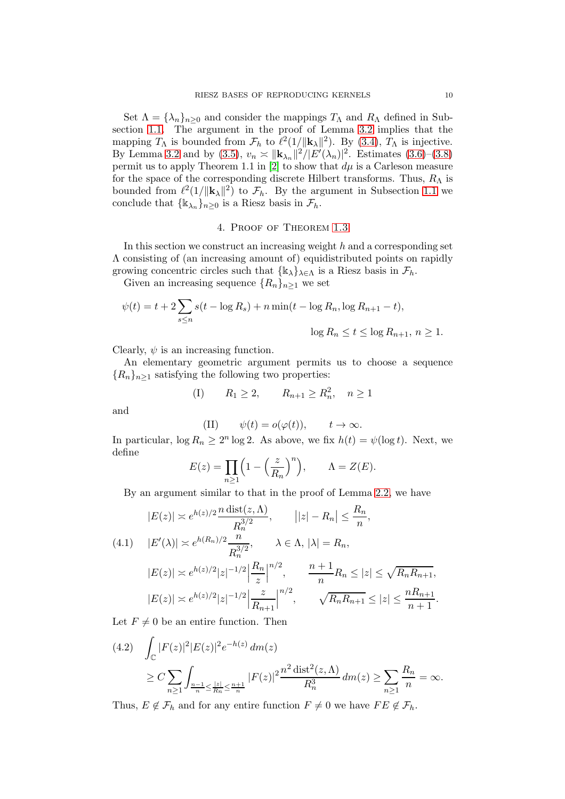Set  $\Lambda = {\lambda_n}_{n\geq 0}$  and consider the mappings  $T_\Lambda$  and  $R_\Lambda$  defined in Subsection [1.1.](#page-2-4) The argument in the proof of Lemma [3.2](#page-6-1) implies that the mapping  $T_{\Lambda}$  is bounded from  $\mathcal{F}_h$  to  $\ell^2(1/\Vert \mathbf{k}_{\Lambda} \Vert^2)$ . By [\(3.4\)](#page-8-0),  $T_{\Lambda}$  is injective. By Lemma [3.2](#page-6-1) and by [\(3.5\)](#page-8-1),  $v_n \approx ||{\bf k}_{\lambda_n}||^2/|E'(\lambda_n)|^2$ . Estimates [\(3.6\)](#page-8-2)–[\(3.8\)](#page-8-3) permit us to apply Theorem 1.1 in [\[2\]](#page-13-1) to show that  $d\mu$  is a Carleson measure for the space of the corresponding discrete Hilbert transforms. Thus,  $R_{\Lambda}$  is bounded from  $\ell^2(1/\|\mathbf{k}_\lambda\|^2)$  to  $\mathcal{F}_h$ . By the argument in Subsection [1.1](#page-2-4) we conclude that  $\{\mathbb{k}_{\lambda_n}\}_{n\geq 0}$  is a Riesz basis in  $\mathcal{F}_h$ .

## 4. Proof of Theorem [1.3](#page-1-1)

<span id="page-9-0"></span>In this section we construct an increasing weight  $h$  and a corresponding set Λ consisting of (an increasing amount of) equidistributed points on rapidly growing concentric circles such that  $\{\mathbb{k}_{\lambda}\}_{\lambda \in \Lambda}$  is a Riesz basis in  $\mathcal{F}_h$ .

Given an increasing sequence  $\{R_n\}_{n\geq 1}$  we set

$$
\psi(t) = t + 2 \sum_{s \le n} s(t - \log R_s) + n \min(t - \log R_n, \log R_{n+1} - t),
$$
  

$$
\log R_n \le t \le \log R_{n+1}, n \ge 1.
$$

Clearly,  $\psi$  is an increasing function.

An elementary geometric argument permits us to choose a sequence  ${R_n}_{n>1}$  satisfying the following two properties:

(I) 
$$
R_1 \ge 2
$$
,  $R_{n+1} \ge R_n^2$ ,  $n \ge 1$ 

and

(II) 
$$
\psi(t) = o(\varphi(t)), \qquad t \to \infty.
$$

In particular,  $\log R_n \ge 2^n \log 2$ . As above, we fix  $h(t) = \psi(\log t)$ . Next, we define

$$
E(z) = \prod_{n \ge 1} \left( 1 - \left(\frac{z}{R_n}\right)^n \right), \qquad \Lambda = Z(E).
$$

By an argument similar to that in the proof of Lemma [2.2,](#page-3-0) we have

<span id="page-9-1"></span>
$$
|E(z)| \approx e^{h(z)/2} \frac{n \operatorname{dist}(z, \Lambda)}{R_n^{3/2}}, \qquad |z| - R_n| \le \frac{R_n}{n},
$$
  
(4.1) 
$$
|E'(\lambda)| \approx e^{h(R_n)/2} \frac{n}{R_n^{3/2}}, \qquad \lambda \in \Lambda, |\lambda| = R_n,
$$

$$
|E(z)| \approx e^{h(z)/2} |z|^{-1/2} \left| \frac{R_n}{z} \right|^{n/2}, \qquad \frac{n+1}{n} R_n \le |z| \le \sqrt{R_n R_{n+1}},
$$

$$
|E(z)| \approx e^{h(z)/2} |z|^{-1/2} \left| \frac{z}{R_{n+1}} \right|^{n/2}, \qquad \sqrt{R_n R_{n+1}} \le |z| \le \frac{nR_{n+1}}{n+1}
$$

Let  $F \neq 0$  be an entire function. Then

<span id="page-9-2"></span>
$$
(4.2) \int_{\mathbb{C}} |F(z)|^2 |E(z)|^2 e^{-h(z)} dm(z)
$$
  
 
$$
\geq C \sum_{n \geq 1} \int_{\frac{n-1}{n} \leq \frac{|z|}{R_n} \leq \frac{n+1}{n}} |F(z)|^2 \frac{n^2 \operatorname{dist}^2(z, \Lambda)}{R_n^3} dm(z) \geq \sum_{n \geq 1} \frac{R_n}{n} = \infty.
$$

Thus,  $E \notin \mathcal{F}_h$  and for any entire function  $F \neq 0$  we have  $FE \notin \mathcal{F}_h$ .

.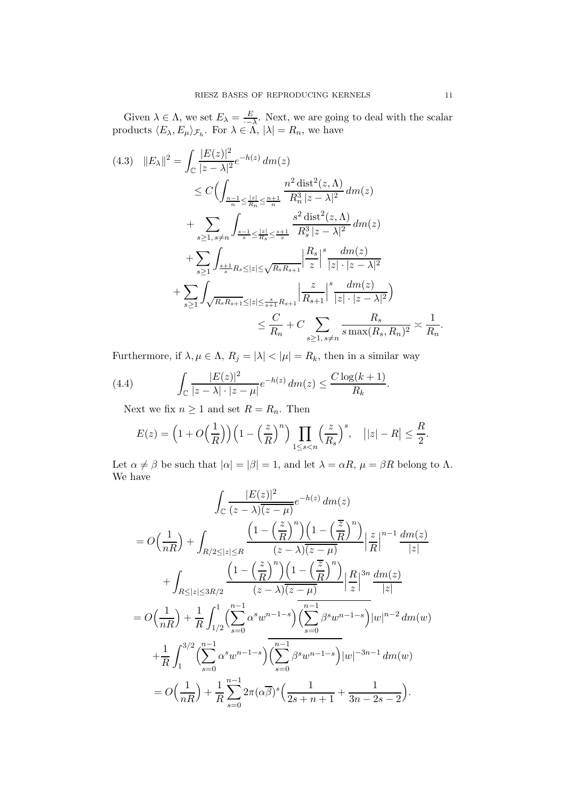Given  $\lambda \in \Lambda$ , we set  $E_{\lambda} = \frac{E}{\lambda - \mu}$  $\frac{E}{\overline{h}}$ . Next, we are going to deal with the scalar products  $\langle E_{\lambda}, E_{\mu} \rangle_{\mathcal{F}_h}$ . For  $\lambda \in \Lambda$ ,  $|\lambda| = R_n$ , we have

<span id="page-10-0"></span>
$$
(4.3) \quad ||E_{\lambda}||^{2} = \int_{\mathbb{C}} \frac{|E(z)|^{2}}{|z - \lambda|^{2}} e^{-h(z)} dm(z)
$$
  
\n
$$
\leq C \Big( \int_{\frac{n-1}{n} \leq \frac{|z|}{R_{n}} \leq \frac{n+1}{n}} \frac{n^{2} \operatorname{dist}^{2}(z, \Lambda)}{R_{n}^{3} |z - \lambda|^{2}} dm(z)
$$
  
\n
$$
+ \sum_{s \geq 1, s \neq n} \int_{\frac{s-1}{s} \leq \frac{|z|}{R_{s}} \leq \frac{s+1}{s}} \frac{s^{2} \operatorname{dist}^{2}(z, \Lambda)}{R_{s}^{3} |z - \lambda|^{2}} dm(z)
$$
  
\n
$$
+ \sum_{s \geq 1} \int_{\frac{s+1}{s}R_{s} \leq |z| \leq \sqrt{R_{s}R_{s+1}}} \left| \frac{R_{s}}{z} \right|^{s} \frac{dm(z)}{|z| \cdot |z - \lambda|^{2}}
$$
  
\n
$$
+ \sum_{s \geq 1} \int_{\sqrt{R_{s}R_{s+1}} \leq |z| \leq \frac{s}{s+1}R_{s+1}} \left| \frac{z}{R_{s+1}} \right|^{s} \frac{dm(z)}{|z| \cdot |z - \lambda|^{2}})
$$
  
\n
$$
\leq \frac{C}{R_{n}} + C \sum_{s \geq 1, s \neq n} \frac{R_{s}}{s \max(R_{s}, R_{n})^{2}} \asymp \frac{1}{R_{n}}.
$$

Furthermore, if  $\lambda, \mu \in \Lambda$ ,  $R_j = |\lambda| < |\mu| = R_k$ , then in a similar way

(4.4) 
$$
\int_{\mathbb{C}} \frac{|E(z)|^2}{|z - \lambda| \cdot |z - \mu|} e^{-h(z)} dm(z) \leq \frac{C \log(k+1)}{R_k}.
$$

<span id="page-10-1"></span>Next we fix  $n \geq 1$  and set  $R = R_n$ . Then

$$
E(z) = \left(1 + O\left(\frac{1}{R}\right)\right) \left(1 - \left(\frac{z}{R}\right)^n\right) \prod_{1 \le s < n} \left(\frac{z}{R_s}\right)^s, \quad | |z| - R | \le \frac{R}{2}.
$$

Let  $\alpha \neq \beta$  be such that  $|\alpha| = |\beta| = 1$ , and let  $\lambda = \alpha R$ ,  $\mu = \beta R$  belong to  $\Lambda$ . We have

$$
\int_{\mathbb{C}} \frac{|E(z)|^2}{(z-\lambda)(z-\mu)} e^{-h(z)} dm(z)
$$
  
=  $O\left(\frac{1}{nR}\right) + \int_{R/2 \le |z| \le R} \frac{\left(1 - \left(\frac{z}{R}\right)^n\right) \left(1 - \left(\frac{\overline{z}}{R}\right)^n\right)}{(z-\lambda)(z-\mu)} \Big|_{R} \Big|^{z}}{|z|^{n-1}} \frac{dm(z)}{|z|}$   
+  $\int_{R \le |z| \le 3R/2} \frac{\left(1 - \left(\frac{z}{R}\right)^n\right) \left(1 - \left(\frac{\overline{z}}{R}\right)^n\right)}{(z-\lambda)(z-\mu)} \Big|_{R} \Big|^{3n}} \frac{dm(z)}{|z|}$   
=  $O\left(\frac{1}{nR}\right) + \frac{1}{R} \int_{1/2}^{1} \left(\sum_{s=0}^{n-1} \alpha^s w^{n-1-s}\right) \left(\sum_{s=0}^{n-1} \beta^s w^{n-1-s}\right) |w|^{n-2} dm(w)$   
+  $\frac{1}{R} \int_{1}^{3/2} \left(\sum_{s=0}^{n-1} \alpha^s w^{n-1-s}\right) \left(\sum_{s=0}^{n-1} \beta^s w^{n-1-s}\right) |w|^{-3n-1} dm(w)$   
=  $O\left(\frac{1}{nR}\right) + \frac{1}{R} \sum_{s=0}^{n-1} 2\pi (\alpha \overline{\beta})^s \left(\frac{1}{2s+n+1} + \frac{1}{3n-2s-2}\right).$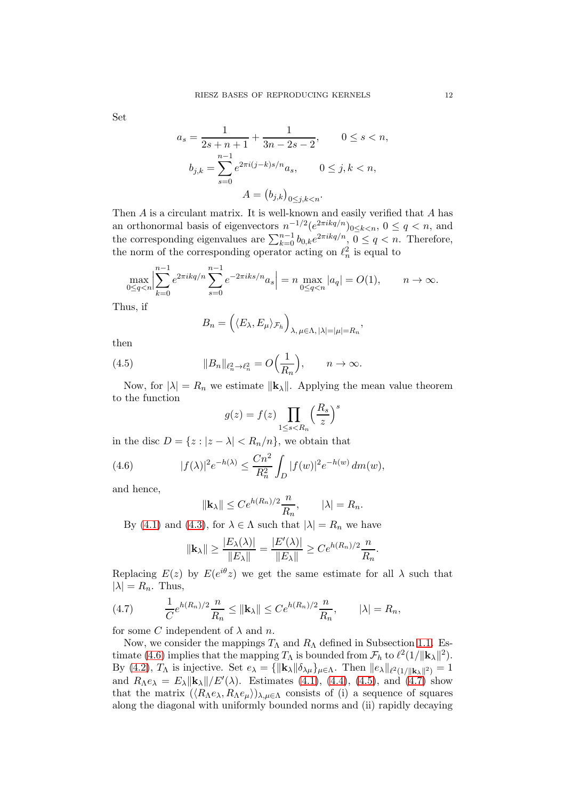Set

$$
a_s = \frac{1}{2s + n + 1} + \frac{1}{3n - 2s - 2}, \qquad 0 \le s < n,
$$
  

$$
b_{j,k} = \sum_{s=0}^{n-1} e^{2\pi i (j - k)s/n} a_s, \qquad 0 \le j, k < n,
$$
  

$$
A = (b_{j,k})_{0 \le j,k < n}.
$$

Then  $A$  is a circulant matrix. It is well-known and easily verified that  $A$  has an orthonormal basis of eigenvectors  $n^{-1/2} (e^{2\pi i kq/n})_{0 \leq k < n}$ ,  $0 \leq q < n$ , and the corresponding eigenvalues are  $\sum_{k=0}^{n-1} b_{0,k} e^{2\pi i kq/n}$ ,  $0 \le q < n$ . Therefore, the norm of the corresponding operator acting on  $\ell_n^2$  is equal to

$$
\max_{0 \le q < n} \Big| \sum_{k=0}^{n-1} e^{2\pi i k q/n} \sum_{s=0}^{n-1} e^{-2\pi i k s/n} a_s \Big| = n \max_{0 \le q < n} |a_q| = O(1), \qquad n \to \infty.
$$

Thus, if

<span id="page-11-1"></span>
$$
B_n = \left( \langle E_\lambda, E_\mu \rangle_{\mathcal{F}_h} \right)_{\lambda, \mu \in \Lambda, |\lambda| = |\mu| = R_n},
$$

then

(4.5) 
$$
||B_n||_{\ell_n^2 \to \ell_n^2} = O\Big(\frac{1}{R_n}\Big), \qquad n \to \infty.
$$

Now, for  $|\lambda| = R_n$  we estimate  $||\mathbf{k}_{\lambda}||$ . Applying the mean value theorem to the function

$$
g(z) = f(z) \prod_{1 \le s < R_n} \left(\frac{R_s}{z}\right)^s
$$

in the disc  $D = \{z : |z - \lambda| < R_n/n\}$ , we obtain that

(4.6) 
$$
|f(\lambda)|^2 e^{-h(\lambda)} \leq \frac{Cn^2}{R_n^2} \int_D |f(w)|^2 e^{-h(w)} dm(w),
$$

and hence,

<span id="page-11-0"></span>
$$
\|\mathbf{k}_{\lambda}\| \le Ce^{h(R_n)/2}\frac{n}{R_n}, \qquad |\lambda| = R_n.
$$

By [\(4.1\)](#page-9-1) and [\(4.3\)](#page-10-0), for  $\lambda \in \Lambda$  such that  $|\lambda| = R_n$  we have

$$
\|\mathbf{k}_{\lambda}\| \ge \frac{|E_{\lambda}(\lambda)|}{\|E_{\lambda}\|} = \frac{|E'(\lambda)|}{\|E_{\lambda}\|} \ge Ce^{h(R_n)/2} \frac{n}{R_n}.
$$

Replacing  $E(z)$  by  $E(e^{i\theta}z)$  we get the same estimate for all  $\lambda$  such that  $|\lambda| = R_n$ . Thus,

<span id="page-11-2"></span>(4.7) 
$$
\frac{1}{C}e^{h(R_n)/2}\frac{n}{R_n} \leq ||\mathbf{k}_{\lambda}|| \leq Ce^{h(R_n)/2}\frac{n}{R_n}, \qquad |\lambda| = R_n,
$$

for some C independent of  $\lambda$  and n.

Now, we consider the mappings  $T_\Lambda$  and  $R_\Lambda$  defined in Subsection [1.1.](#page-2-4) Es-timate [\(4.6\)](#page-11-0) implies that the mapping  $T_{\Lambda}$  is bounded from  $\mathcal{F}_h$  to  $\ell^2(1/\|\mathbf{k}_{\lambda}\|^2)$ . By [\(4.2\)](#page-9-2),  $T_{\Lambda}$  is injective. Set  $e_{\lambda} = {\|\mathbf{k}_{\lambda}\| \delta_{\lambda\mu}\}_{\mu \in \Lambda}$ . Then  $||e_{\lambda}||_{\ell^{2}(1/||\mathbf{k}_{\lambda}||^{2})} = 1$ and  $R_{\Lambda}e_{\lambda} = E_{\lambda} ||\mathbf{k}_{\lambda}||/E'(\lambda)$ . Estimates [\(4.1\)](#page-9-1), [\(4.4\)](#page-10-1), [\(4.5\)](#page-11-1), and [\(4.7\)](#page-11-2) show that the matrix  $(\langle R_\Lambda e_\lambda, R_\Lambda e_\mu \rangle)_{\lambda,\mu \in \Lambda}$  consists of (i) a sequence of squares along the diagonal with uniformly bounded norms and (ii) rapidly decaying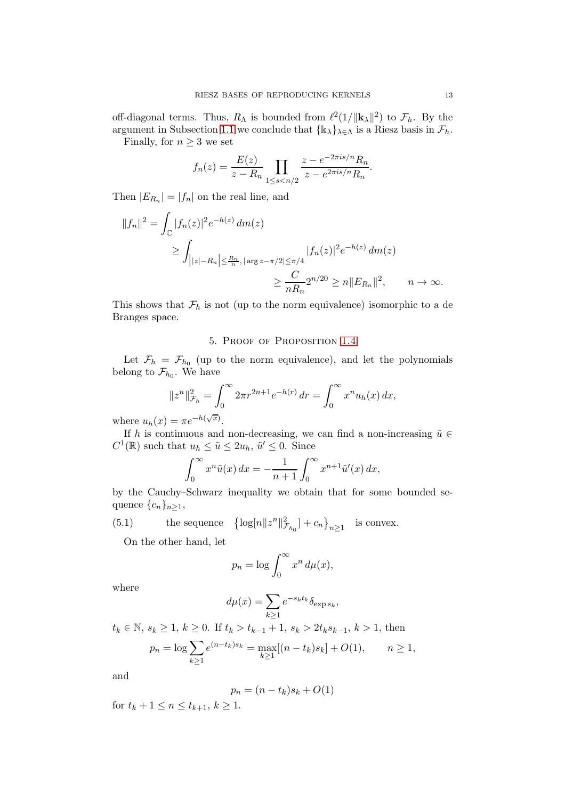off-diagonal terms. Thus,  $R_{\Lambda}$  is bounded from  $\ell^2(1/\Vert \mathbf{k}_{\lambda} \Vert^2)$  to  $\mathcal{F}_h$ . By the argument in Subsection [1.1](#page-2-4) we conclude that  $\{k_{\lambda}\}_{{\lambda}\in{\Lambda}}$  is a Riesz basis in  $\mathcal{F}_h$ . Finally, for  $n \geq 3$  we set

$$
f_n(z) = \frac{E(z)}{z - R_n} \prod_{1 \le s < n/2} \frac{z - e^{-2\pi i s/n} R_n}{z - e^{2\pi i s/n} R_n}.
$$

Then  $|E_{R_n}| = |f_n|$  on the real line, and

$$
||f_n||^2 = \int_{\mathbb{C}} |f_n(z)|^2 e^{-h(z)} dm(z)
$$
  
\n
$$
\geq \int_{||z|-R_n| \leq \frac{R_n}{n}, |\arg z - \pi/2| \leq \pi/4} |f_n(z)|^2 e^{-h(z)} dm(z)
$$
  
\n
$$
\geq \frac{C}{nR_n} 2^{n/20} \geq n ||E_{R_n}||^2, \qquad n \to \infty.
$$

<span id="page-12-0"></span>This shows that  $\mathcal{F}_h$  is not (up to the norm equivalence) isomorphic to a de Branges space.

## 5. Proof of Proposition [1.4](#page-2-1)

Let  $\mathcal{F}_h = \mathcal{F}_{h_0}$  (up to the norm equivalence), and let the polynomials belong to  $\mathcal{F}_{h_0}$ . We have

$$
||z^n||_{\mathcal{F}_h}^2 = \int_0^\infty 2\pi r^{2n+1} e^{-h(r)} \, dr = \int_0^\infty x^n u_h(x) \, dx,
$$

where  $u_h(x) = \pi e^{-h(\sqrt{x})}$ .

If h is continuous and non-decreasing, we can find a non-increasing  $\tilde{u} \in$  $C^1(\mathbb{R})$  such that  $u_h \leq \tilde{u} \leq 2u_h$ ,  $\tilde{u}' \leq 0$ . Since

$$
\int_0^\infty x^n \tilde{u}(x) dx = -\frac{1}{n+1} \int_0^\infty x^{n+1} \tilde{u}'(x) dx,
$$

by the Cauchy–Schwarz inequality we obtain that for some bounded sequence  $\{c_n\}_{n\geq 1}$ ,

(5.1) the sequence  $\log[n||z^n||_J^2$  $\left[\mathcal{F}_{h_0}\right] + c_n\big\}_{n\geq 1}$  is convex.

<span id="page-12-1"></span>On the other hand, let

$$
p_n = \log \int_0^\infty x^n \, d\mu(x),
$$

where

$$
d\mu(x) = \sum_{k \ge 1} e^{-s_k t_k} \delta_{\exp s_k},
$$

 $t_k \in \mathbb{N}, \, s_k \geq 1, \, k \geq 0.$  If  $t_k > t_{k-1}+1, \, s_k > 2t_ks_{k-1}, \, k > 1,$  then  $p_n = \log \sum$  $k\geq 1$  $e^{(n-t_k)s_k} = \max_{k=1}^{\infty}$  $\max_{k\geq 1} [(n-t_k)s_k] + O(1), \qquad n \geq 1,$ 

and

$$
p_n = (n - t_k)s_k + O(1)
$$

for  $t_k + 1 \leq n \leq t_{k+1}, k \geq 1$ .